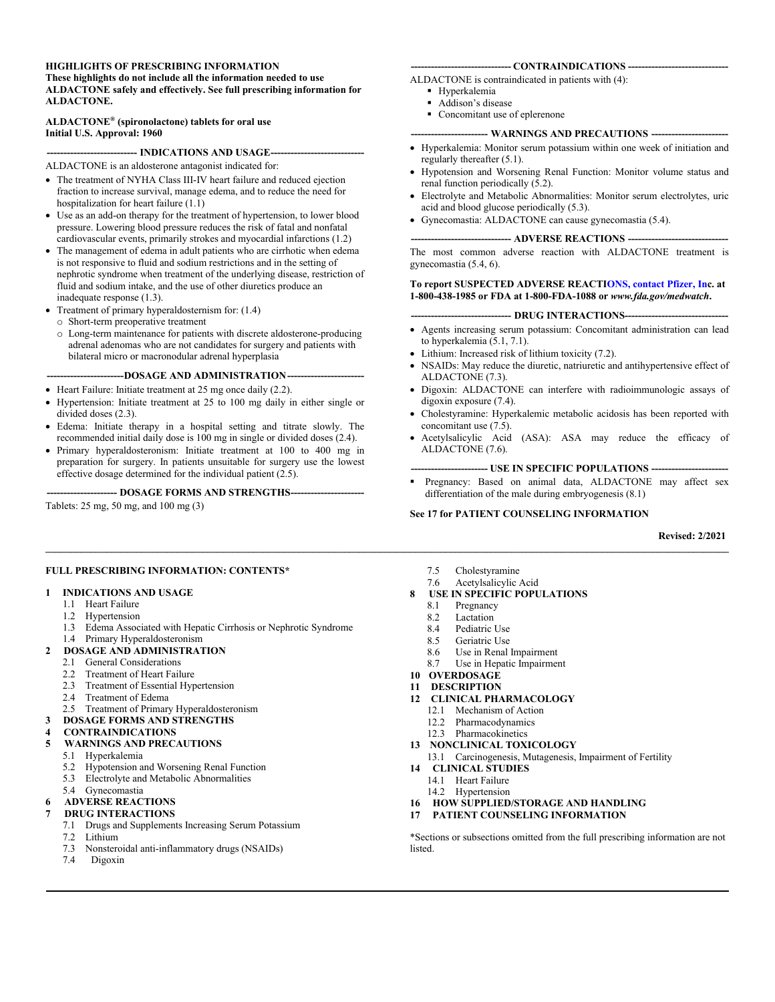#### **HIGHLIGHTS OF PRESCRIBING INFORMATION**

**These highlights do not include all the information needed to use ALDACTONE safely and effectively. See full prescribing information for ALDACTONE.**

#### **ALDACTONE® (spironolactone) tablets for oral use Initial U.S. Approval: 1960**

#### **--------------------------- INDICATIONS AND USAGE----------------------------**

ALDACTONE is an aldosterone antagonist indicated for:

- The treatment of NYHA Class III-IV heart failure and reduced ejection fraction to increase survival, manage edema, and to reduce the need for hospitalization for heart failure (1.1)
- Use as an add-on therapy for the treatment of hypertension, to lower blood pressure. Lowering blood pressure reduces the risk of fatal and nonfatal cardiovascular events, primarily strokes and myocardial infarctions (1.2)
- The management of edema in adult patients who are cirrhotic when edema is not responsive to fluid and sodium restrictions and in the setting of nephrotic syndrome when treatment of the underlying disease, restriction of fluid and sodium intake, and the use of other diuretics produce an inadequate response (1.3).
- Treatment of primary hyperaldosternism for: (1.4)
- o Short-term preoperative treatment
- o Long-term maintenance for patients with discrete aldosterone-producing adrenal adenomas who are not candidates for surgery and patients with bilateral micro or macronodular adrenal hyperplasia
- ---DOSAGE AND ADMINISTRATION---
- Heart Failure: Initiate treatment at 25 mg once daily (2.2).
- Hypertension: Initiate treatment at 25 to 100 mg daily in either single or divided doses (2.3).
- Edema: Initiate therapy in a hospital setting and titrate slowly. The recommended initial daily dose is 100 mg in single or divided doses (2.4).
- Primary hyperaldosteronism: Initiate treatment at 100 to 400 mg in preparation for surgery. In patients unsuitable for surgery use the lowest effective dosage determined for the individual patient (2.5).

**--------------------- DOSAGE FORMS AND STRENGTHS----------------------**

Tablets: 25 mg, 50 mg, and 100 mg (3)

#### **FULL PRESCRIBING INFORMATION: CONTENTS\***

#### **1 INDICATIONS AND USAGE**

- 1.1 Heart Failure
- 1.2 Hypertension
- 1.3 Edema Associated with Hepatic Cirrhosis or Nephrotic Syndrome
- 1.4 Primary Hyperaldosteronism

#### **2 DOSAGE AND ADMINISTRATION**

- 2.1 General Considerations
- 2.2 Treatment of Heart Failure
- 2.3 Treatment of Essential Hypertension
- 2.4 Treatment of Edema
- 2.5 Treatment of Primary Hyperaldosteronism

#### **3 DOSAGE FORMS AND STRENGTHS**

#### **4 CONTRAINDICATIONS**

- **5 WARNINGS AND PRECAUTIONS**
	- 5.1 Hyperkalemia
	- 5.2 Hypotension and Worsening Renal Function<br>5.3 Electrolyte and Metabolic Abnormalities
	- Electrolyte and Metabolic Abnormalities
	- 5.4 Gynecomastia
- **6 ADVERSE REACTIONS**

#### **7 DRUG INTERACTIONS**

- 7.1 Drugs and Supplements Increasing Serum Potassium
- 7.2 Lithium
- 7.3 Nonsteroidal anti-inflammatory drugs (NSAIDs)
- 7.4 Digoxin

#### **------------------------------ CONTRAINDICATIONS ------------------------------**

- ALDACTONE is contraindicated in patients with (4):
	- Hyperkalemia
	- Addison's disease
	- Concomitant use of eplerenone

#### --- WARNINGS AND PRECAUTIONS --

- Hyperkalemia: Monitor serum potassium within one week of initiation and regularly thereafter (5.1).
- Hypotension and Worsening Renal Function: Monitor volume status and renal function periodically (5.2).
- Electrolyte and Metabolic Abnormalities: Monitor serum electrolytes, uric acid and blood glucose periodically (5.3).
- Gynecomastia: ALDACTONE can cause gynecomastia (5.4).

#### **------------------------------ ADVERSE REACTIONS ------------------------------**

The most common adverse reaction with ALDACTONE treatment is gynecomastia (5.4, 6).

#### **To report SUSPECTED ADVERSE REACTI[ONS, contact Pfizer,](http://www.fda.gov/medwatch) Inc. at 1-800-438-1985 or FDA at 1-800-FDA-1088 or** *www.fda.gov/medwatch***.**

#### **------------------------------ DRUG INTERACTIONS-------------------------------**

- Agents increasing serum potassium: Concomitant administration can lead to hyperkalemia (5.1, 7.1).
- Lithium: Increased risk of lithium toxicity (7.2).
- NSAIDs: May reduce the diuretic, natriuretic and antihypertensive effect of ALDACTONE (7.3).
- Digoxin: ALDACTONE can interfere with radioimmunologic assays of digoxin exposure (7.4).
- Cholestyramine: Hyperkalemic metabolic acidosis has been reported with concomitant use (7.5).
- Acetylsalicylic Acid (ASA): ASA may reduce the efficacy of ALDACTONE (7.6).

#### **----------------------- USE IN SPECIFIC POPULATIONS -----------------------**

 Pregnancy: Based on animal data, ALDACTONE may affect sex differentiation of the male during embryogenesis (8.1)

#### **See 17 for PATIENT COUNSELING INFORMATION**

#### **Revised: 2/2021**

- 7.5 Cholestyramine<br>7.6 Acetylsalicylic
- Acetylsalicylic Acid

**\_\_\_\_\_\_\_\_\_\_\_\_\_\_\_\_\_\_\_\_\_\_\_\_\_\_\_\_\_\_\_\_\_\_\_\_\_\_\_\_\_\_\_\_\_\_\_\_\_\_\_\_\_\_\_\_\_\_\_\_\_\_\_\_\_\_\_\_\_\_\_\_\_\_\_\_\_\_\_\_\_\_\_\_\_\_\_\_\_\_\_\_\_\_\_\_\_\_\_\_\_\_\_\_\_\_\_\_\_\_\_\_\_\_\_\_\_\_\_\_\_\_\_\_\_\_\_\_\_\_\_\_\_\_\_**

- **8 USE IN SPECIFIC POPULATIONS**
	- 8.1 Pregnancy<br>8.2 Lactation
	- 8.2 Lactation<br>8.4 Pediatric
	- Pediatric Use
	- 8.5 Geriatric Use
	- 8.6 Use in Renal Impairment
	- 8.7 Use in Hepatic Impairment
- **10 OVERDOSAGE**
- **11 DESCRIPTION**
- **12 CLINICAL PHARMACOLOGY**
	- 12.1 Mechanism of Action
	- 12.2 Pharmacodynamics
	- 12.3 Pharmacokinetics
- **13 NONCLINICAL TOXICOLOGY**
	- 13.1 Carcinogenesis, Mutagenesis, Impairment of Fertility
- **14 CLINICAL STUDIES**
	- 14.1 Heart Failure
	- 14.2 Hypertension
- **16 HOW SUPPLIED/STORAGE AND HANDLING**
- **17 PATIENT COUNSELING INFORMATION**

\*Sections or subsections omitted from the full prescribing information are not listed.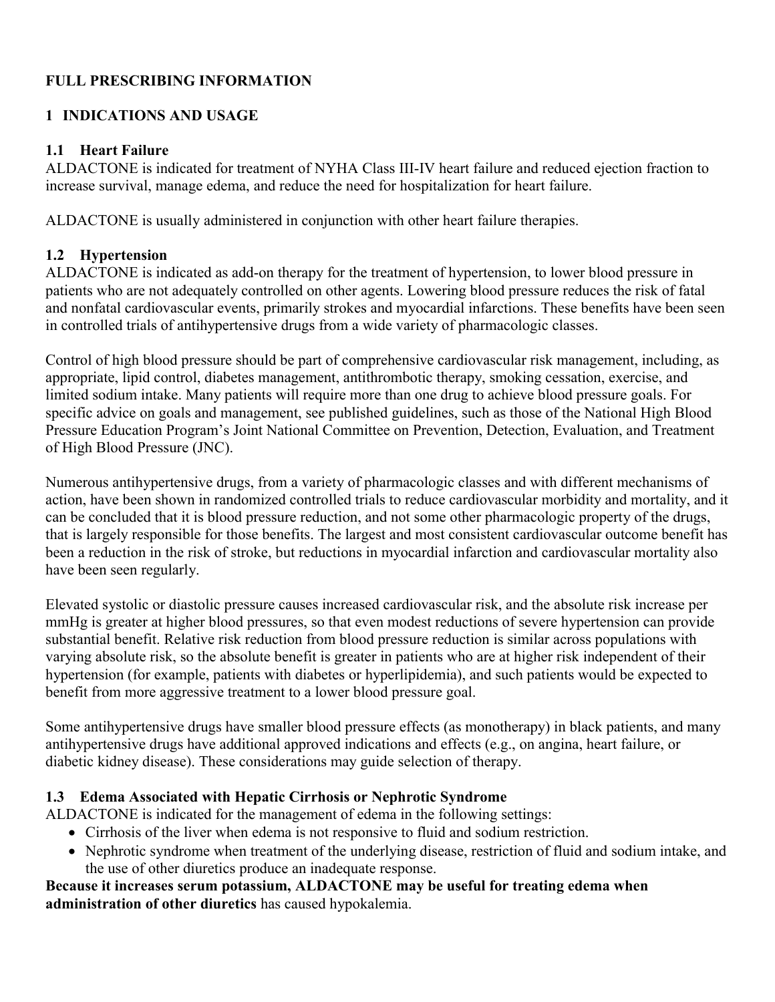# **FULL PRESCRIBING INFORMATION**

# **1 INDICATIONS AND USAGE**

## **1.1 Heart Failure**

ALDACTONE is indicated for treatment of NYHA Class III-IV heart failure and reduced ejection fraction to increase survival, manage edema, and reduce the need for hospitalization for heart failure.

ALDACTONE is usually administered in conjunction with other heart failure therapies.

# **1.2 Hypertension**

ALDACTONE is indicated as add-on therapy for the treatment of hypertension, to lower blood pressure in patients who are not adequately controlled on other agents. Lowering blood pressure reduces the risk of fatal and nonfatal cardiovascular events, primarily strokes and myocardial infarctions. These benefits have been seen in controlled trials of antihypertensive drugs from a wide variety of pharmacologic classes.

Control of high blood pressure should be part of comprehensive cardiovascular risk management, including, as appropriate, lipid control, diabetes management, antithrombotic therapy, smoking cessation, exercise, and limited sodium intake. Many patients will require more than one drug to achieve blood pressure goals. For specific advice on goals and management, see published guidelines, such as those of the National High Blood Pressure Education Program's Joint National Committee on Prevention, Detection, Evaluation, and Treatment of High Blood Pressure (JNC).

Numerous antihypertensive drugs, from a variety of pharmacologic classes and with different mechanisms of action, have been shown in randomized controlled trials to reduce cardiovascular morbidity and mortality, and it can be concluded that it is blood pressure reduction, and not some other pharmacologic property of the drugs, that is largely responsible for those benefits. The largest and most consistent cardiovascular outcome benefit has been a reduction in the risk of stroke, but reductions in myocardial infarction and cardiovascular mortality also have been seen regularly.

Elevated systolic or diastolic pressure causes increased cardiovascular risk, and the absolute risk increase per mmHg is greater at higher blood pressures, so that even modest reductions of severe hypertension can provide substantial benefit. Relative risk reduction from blood pressure reduction is similar across populations with varying absolute risk, so the absolute benefit is greater in patients who are at higher risk independent of their hypertension (for example, patients with diabetes or hyperlipidemia), and such patients would be expected to benefit from more aggressive treatment to a lower blood pressure goal.

Some antihypertensive drugs have smaller blood pressure effects (as monotherapy) in black patients, and many antihypertensive drugs have additional approved indications and effects (e.g., on angina, heart failure, or diabetic kidney disease). These considerations may guide selection of therapy.

# **1.3 Edema Associated with Hepatic Cirrhosis or Nephrotic Syndrome**

ALDACTONE is indicated for the management of edema in the following settings:

- Cirrhosis of the liver when edema is not responsive to fluid and sodium restriction.
- Nephrotic syndrome when treatment of the underlying disease, restriction of fluid and sodium intake, and the use of other diuretics produce an inadequate response.

### **Because it increases serum potassium, ALDACTONE may be useful for treating edema when administration of other diuretics** has caused hypokalemia.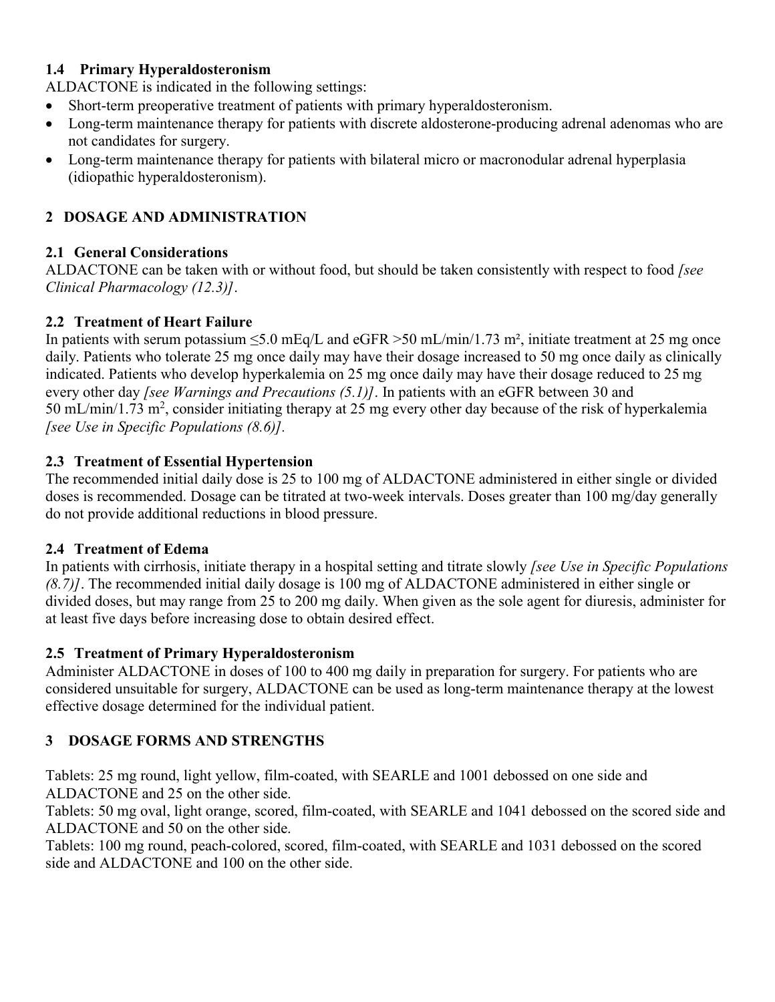## **1.4 Primary Hyperaldosteronism**

ALDACTONE is indicated in the following settings:

- Short-term preoperative treatment of patients with primary hyperaldosteronism.
- Long-term maintenance therapy for patients with discrete aldosterone-producing adrenal adenomas who are not candidates for surgery.
- Long-term maintenance therapy for patients with bilateral micro or macronodular adrenal hyperplasia (idiopathic hyperaldosteronism).

# **2 DOSAGE AND ADMINISTRATION**

# **2.1 [General Considerations](https://dailymed.nlm.nih.gov/dailymed/drugInfo.cfm?setid=c4f70a04-7d89-4b73-8b02-17d43471bf08#S12.3)**

ALDACTONE can be taken with or without food, but should be taken consistently with respect to food *[see Clinical Pharmacology (12.3)]*.

# **2.2 Treatment of Heart Failure**

In patients with serum potassium  $\leq 5.0$  mEq/L and eGFR  $> 50$  mL/min/1.73 m<sup>2</sup>, initiate treatment at 25 mg once daily. Patients who tolerate 25 mg once daily may have their dosage increased to 50 mg once daily as clinically indicated. Patients who develop hyperkalemia on 25 mg once daily may have their dosage reduced to 25 mg every other day *[see Warnings and Precautions (5.1)]*. In patients with an eGFR between 30 and 50 mL/min/1.73 m<sup>2</sup>, consider initiating therapy at 25 mg every other day because of the risk of hyperkalemia *[see Use in Specific Populations (8.6)].*

# **2.3 Treatment of Essential Hypertension**

The recommended initial daily dose is 25 to 100 mg of ALDACTONE administered in either single or divided doses is recommended. Dosage can be titrated at two-week intervals. Doses greater than 100 mg/day generally do not provide additional reductions in blood pressure.

# **2.4 Treatment of Edema**

In patients with cirrhosis, initiate therapy in a hospital setting and titrate slowly *[see Use in Specific Populations (8.7)]*. The recommended initial daily dosage is 100 mg of ALDACTONE administered in either single or divided doses, but may range from 25 to 200 mg daily. When given as the sole agent for diuresis, administer for at least five days before increasing dose to obtain desired effect.

# **2.5 Treatment of Primary Hyperaldosteronism**

Administer ALDACTONE in doses of 100 to 400 mg daily in preparation for surgery. For patients who are considered unsuitable for surgery, ALDACTONE can be used as long-term maintenance therapy at the lowest effective dosage determined for the individual patient.

# **3 DOSAGE FORMS AND STRENGTHS**

Tablets: 25 mg round, light yellow, film-coated, with SEARLE and 1001 debossed on one side and ALDACTONE and 25 on the other side.

Tablets: 50 mg oval, light orange, scored, film-coated, with SEARLE and 1041 debossed on the scored side and ALDACTONE and 50 on the other side.

Tablets: 100 mg round, peach-colored, scored, film-coated, with SEARLE and 1031 debossed on the scored side and ALDACTONE and 100 on the other side.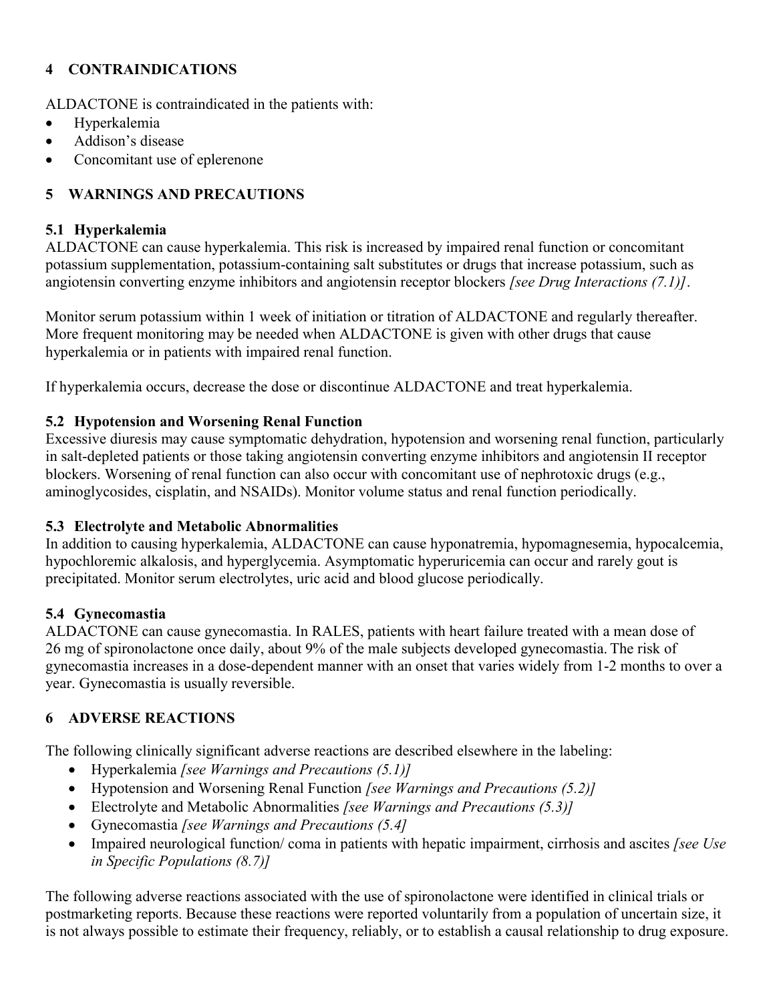# **4 CONTRAINDICATIONS**

ALDACTONE is contraindicated in the patients with:

- Hyperkalemia
- Addison's disease
- Concomitant use of eplerenone

# **5 WARNINGS AND PRECAUTIONS**

## **5.1 Hyperkalemia**

ALDACTONE can cause hyperkalemia. This risk is increased by impaired renal function or concomitant potassium supplementation, potassium-containing salt substitutes or drugs that increase potassium, such as angiotensin converting enzyme inhibitors and angiotensin receptor blockers *[see Drug Interactions (7.1)]*.

Monitor serum potassium within 1 week of initiation or titration of ALDACTONE and regularly thereafter. More frequent monitoring may be needed when ALDACTONE is given with other drugs that cause hyperkalemia or in patients with impaired renal function.

If hyperkalemia occurs, decrease the dose or discontinue ALDACTONE and treat hyperkalemia.

## **5.2 Hypotension and Worsening Renal Function**

Excessive diuresis may cause symptomatic dehydration, hypotension and worsening renal function, particularly in salt-depleted patients or those taking angiotensin converting enzyme inhibitors and angiotensin II receptor blockers. Worsening of renal function can also occur with concomitant use of nephrotoxic drugs (e.g., aminoglycosides, cisplatin, and NSAIDs). Monitor volume status and renal function periodically.

### **5.3 Electrolyte and Metabolic Abnormalities**

In addition to causing hyperkalemia, ALDACTONE can cause hyponatremia, hypomagnesemia, hypocalcemia, hypochloremic alkalosis, and hyperglycemia. Asymptomatic hyperuricemia can occur and rarely gout is precipitated. Monitor serum electrolytes, uric acid and blood glucose periodically.

### **5.4 Gynecomastia**

ALDACTONE can cause gynecomastia. In RALES, patients with heart failure treated with a mean dose of 26 mg of spironolactone once daily, about 9% of the male subjects developed gynecomastia. The risk of gynecomastia increases in a dose-dependent manner with an onset that varies widely from 1-2 months to over a year. Gynecomastia is usually reversible.

# **6 ADVERSE REACTIONS**

The following clinically significant adverse reactions are described elsewhere in the labeling:

- Hyperkalemia *[see Warnings and Precautions (5.1)]*
- Hypotension and Worsening Renal Function *[see Warnings and Precautions (5.2)]*
- Electrolyte and Metabolic Abnormalities *[see Warnings and Precautions (5.3)]*
- Gynecomastia *[see Warnings and Precautions (5.4]*
- Impaired neurological function/ coma in patients with hepatic impairment, cirrhosis and ascites *[see Use in Specific Populations (8.7)]*

The following adverse reactions associated with the use of spironolactone were identified in clinical trials or postmarketing reports. Because these reactions were reported voluntarily from a population of uncertain size, it is not always possible to estimate their frequency, reliably, or to establish a causal relationship to drug exposure.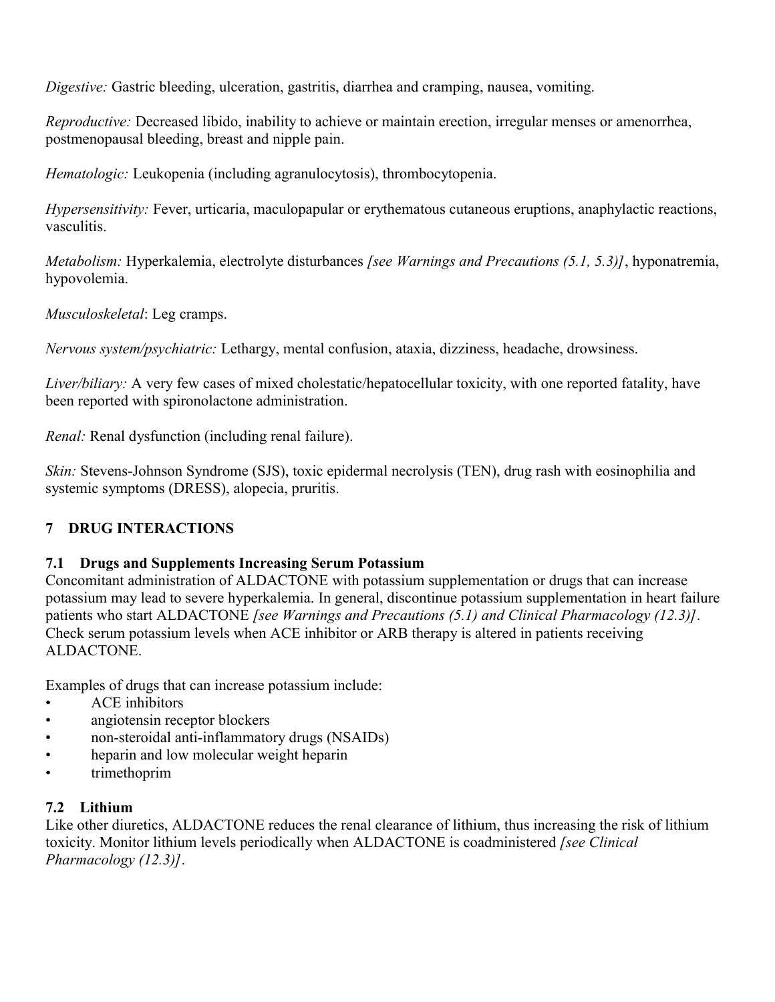*Digestive:* Gastric bleeding, ulceration, gastritis, diarrhea and cramping, nausea, vomiting.

*Reproductive:* Decreased libido, inability to achieve or maintain erection, irregular menses or amenorrhea, postmenopausal bleeding, breast and nipple pain.

*Hematologic:* Leukopenia (including agranulocytosis), thrombocytopenia.

*Hypersensitivity:* Fever, urticaria, maculopapular or erythematous cutaneous eruptions, anaphylactic reactions, vasculitis.

*Metabolism:* Hyperkalemia, electrolyte disturbances *[see Warnings and Precautions (5.1, 5.3)]*, hyponatremia, hypovolemia.

*Musculoskeletal*: Leg cramps.

*Nervous system/psychiatric:* Lethargy, mental confusion, ataxia, dizziness, headache, drowsiness.

*Liver/biliary:* A very few cases of mixed cholestatic/hepatocellular toxicity, with one reported fatality, have been reported with spironolactone administration.

*Renal:* Renal dysfunction (including renal failure).

*Skin:* Stevens-Johnson Syndrome (SJS), toxic epidermal necrolysis (TEN), drug rash with eosinophilia and systemic symptoms (DRESS), alopecia, pruritis.

# **7 DRUG INTERACTIONS**

# **7.1 Drugs and Supplements Increasing Serum Potassium**

Concomitant administration of ALDACTONE with potassium supplementation or drugs that can increase potassium may lead to severe hyperkalemia. In general, discontinue potassium supplementation in heart failure patients who start ALDACTONE *[see Warnings and Precautions (5.1) and Clinical Pharmacology (12.3)]*. Check serum potassium levels when ACE inhibitor or ARB therapy is altered in patients receiving ALDACTONE.

Examples of drugs that can increase potassium include:

- ACE inhibitors
- angiotensin receptor blockers
- non-steroidal anti-inflammatory drugs (NSAIDs)
- heparin and low molecular weight heparin
- trimethoprim

# **7.2 Lithium**

Like other diuretics, ALDACTONE reduces the renal clearance of lithium, thus increasing the risk of lithium toxicity. Monitor lithium levels periodically when ALDACTONE is coadministered *[see Clinical Pharmacology (12.3)]*.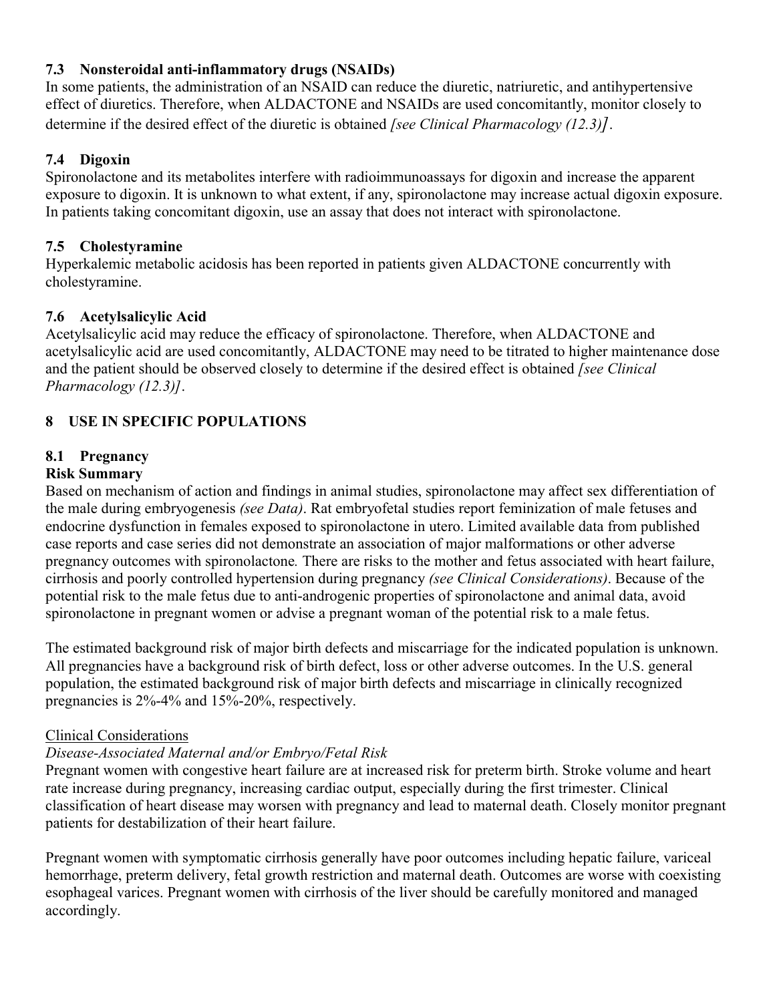# **7.3 Nonsteroidal anti-inflammatory drugs (NSAIDs)**

In some patients, the administration of an NSAID can reduce the diuretic, natriuretic, and antihypertensive effect of diuretics. Therefore, when ALDACTONE and NSAIDs are used concomitantly, monitor closely to determine if the desired effect of the diuretic is obtained *[see Clinical Pharmacology (12.3)]*.

## **7.4 Digoxin**

Spironolactone and its metabolites interfere with radioimmunoassays for digoxin and increase the apparent exposure to digoxin. It is unknown to what extent, if any, spironolactone may increase actual digoxin exposure. In patients taking concomitant digoxin, use an assay that does not interact with spironolactone.

### **7.5 Cholestyramine**

Hyperkalemic metabolic acidosis has been reported in patients given ALDACTONE concurrently with cholestyramine.

## **7.6 Acetylsalicylic Acid**

Acetylsalicylic acid may reduce the efficacy of spironolactone. Therefore, when ALDACTONE and acetylsalicylic acid are used concomitantly, ALDACTONE may need to be titrated to higher maintenance dose and the patient should be observed closely to determine if the desired effect is obtained *[see Clinical Pharmacology (12.3)]*.

# **8 USE IN SPECIFIC POPULATIONS**

# **8.1 Pregnancy**

# **Risk Summary**

Based on mechanism of action and findings in animal studies, spironolactone may affect sex differentiation of the male during embryogenesis *(see Data)*. Rat embryofetal studies report feminization of male fetuses and endocrine dysfunction in females exposed to spironolactone in utero. Limited available data from published case reports and case series did not demonstrate an association of major malformations or other adverse pregnancy outcomes with spironolactone*.* There are risks to the mother and fetus associated with heart failure, cirrhosis and poorly controlled hypertension during pregnancy *(see Clinical Considerations)*. Because of the potential risk to the male fetus due to anti-androgenic properties of spironolactone and animal data, avoid spironolactone in pregnant women or advise a pregnant woman of the potential risk to a male fetus.

The estimated background risk of major birth defects and miscarriage for the indicated population is unknown. All pregnancies have a background risk of birth defect, loss or other adverse outcomes. In the U.S. general population, the estimated background risk of major birth defects and miscarriage in clinically recognized pregnancies is 2%-4% and 15%-20%, respectively.

### Clinical Considerations

# *Disease-Associated Maternal and/or Embryo/Fetal Risk*

Pregnant women with congestive heart failure are at increased risk for preterm birth. Stroke volume and heart rate increase during pregnancy, increasing cardiac output, especially during the first trimester. Clinical classification of heart disease may worsen with pregnancy and lead to maternal death. Closely monitor pregnant patients for destabilization of their heart failure.

Pregnant women with symptomatic cirrhosis generally have poor outcomes including hepatic failure, variceal hemorrhage, preterm delivery, fetal growth restriction and maternal death. Outcomes are worse with coexisting esophageal varices. Pregnant women with cirrhosis of the liver should be carefully monitored and managed accordingly.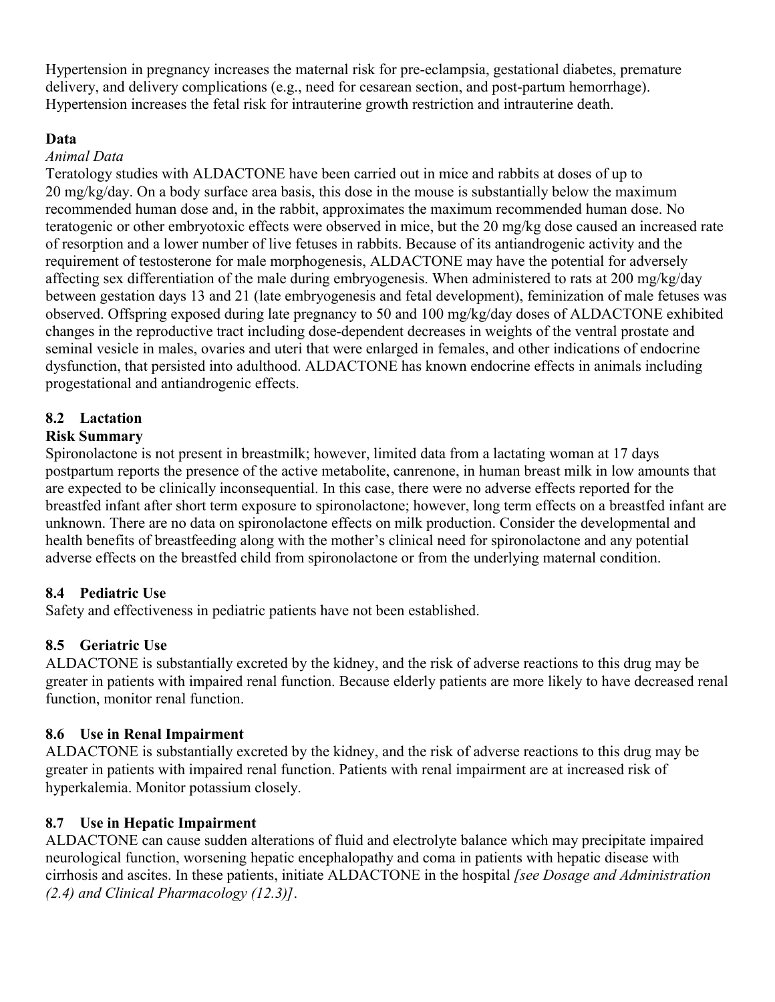Hypertension in pregnancy increases the maternal risk for pre-eclampsia, gestational diabetes, premature delivery, and delivery complications (e.g., need for cesarean section, and post-partum hemorrhage). Hypertension increases the fetal risk for intrauterine growth restriction and intrauterine death.

## **Data**

## *Animal Data*

Teratology studies with ALDACTONE have been carried out in mice and rabbits at doses of up to 20 mg/kg/day. On a body surface area basis, this dose in the mouse is substantially below the maximum recommended human dose and, in the rabbit, approximates the maximum recommended human dose. No teratogenic or other embryotoxic effects were observed in mice, but the 20 mg/kg dose caused an increased rate of resorption and a lower number of live fetuses in rabbits. Because of its antiandrogenic activity and the requirement of testosterone for male morphogenesis, ALDACTONE may have the potential for adversely affecting sex differentiation of the male during embryogenesis. When administered to rats at 200 mg/kg/day between gestation days 13 and 21 (late embryogenesis and fetal development), feminization of male fetuses was observed. Offspring exposed during late pregnancy to 50 and 100 mg/kg/day doses of ALDACTONE exhibited changes in the reproductive tract including dose-dependent decreases in weights of the ventral prostate and seminal vesicle in males, ovaries and uteri that were enlarged in females, and other indications of endocrine dysfunction, that persisted into adulthood. ALDACTONE has known endocrine effects in animals including progestational and antiandrogenic effects.

# **8.2 Lactation**

# **Risk Summary**

Spironolactone is not present in breastmilk; however, limited data from a lactating woman at 17 days postpartum reports the presence of the active metabolite, canrenone, in human breast milk in low amounts that are expected to be clinically inconsequential. In this case, there were no adverse effects reported for the breastfed infant after short term exposure to spironolactone; however, long term effects on a breastfed infant are unknown. There are no data on spironolactone effects on milk production. Consider the developmental and health benefits of breastfeeding along with the mother's clinical need for spironolactone and any potential adverse effects on the breastfed child from spironolactone or from the underlying maternal condition.

# **8.4 Pediatric Use**

Safety and effectiveness in pediatric patients have not been established.

# **8.5 Geriatric Use**

ALDACTONE is substantially excreted by the kidney, and the risk of adverse reactions to this drug may be greater in patients with impaired renal function. Because elderly patients are more likely to have decreased renal function, monitor renal function.

# **8.6 Use in Renal Impairment**

ALDACTONE is substantially excreted by the kidney, and the risk of adverse reactions to this drug may be greater in patients with impaired renal function. Patients with renal impairment are at increased risk of hyperkalemia. Monitor potassium closely.

# **8.7 Use in Hepatic Impairment**

ALDACTONE can cause sudden alterations of fluid and electrolyte balance which may precipitate impaired neurological function, worsening hepatic encephalopathy and coma in patients with hepatic disease with cirrhosis and ascites. In these patients, initiate ALDACTONE in the hospital *[see Dosage and Administration (2.4) and Clinical Pharmacology (12.3)]*.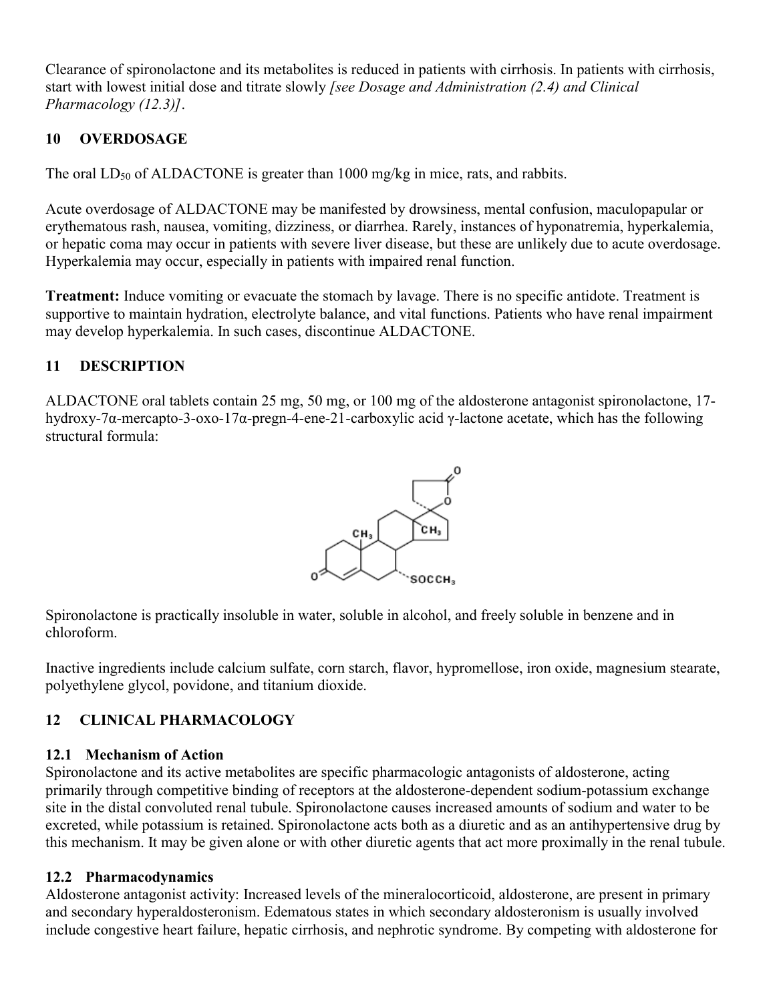Clearance of spironolactone and its metabolites is reduced in patients with cirrhosis. In patients with cirrhosis, start with lowest initial dose and titrate slowly *[see Dosage and Administration (2.4) and Clinical Pharmacology (12.3)]*.

# **10 OVERDOSAGE**

The oral  $LD_{50}$  of ALDACTONE is greater than 1000 mg/kg in mice, rats, and rabbits.

Acute overdosage of ALDACTONE may be manifested by drowsiness, mental confusion, maculopapular or erythematous rash, nausea, vomiting, dizziness, or diarrhea. Rarely, instances of hyponatremia, hyperkalemia, or hepatic coma may occur in patients with severe liver disease, but these are unlikely due to acute overdosage. Hyperkalemia may occur, especially in patients with impaired renal function.

**Treatment:** Induce vomiting or evacuate the stomach by lavage. There is no specific antidote. Treatment is supportive to maintain hydration, electrolyte balance, and vital functions. Patients who have renal impairment may develop hyperkalemia. In such cases, discontinue ALDACTONE.

# **11 DESCRIPTION**

ALDACTONE oral tablets contain 25 mg, 50 mg, or 100 mg of the aldosterone antagonist spironolactone, 17 hydroxy-7α-mercapto-3-oxo-17α-pregn-4-ene-21-carboxylic acid γ-lactone acetate, which has the following structural formula:



Spironolactone is practically insoluble in water, soluble in alcohol, and freely soluble in benzene and in chloroform.

Inactive ingredients include calcium sulfate, corn starch, flavor, hypromellose, iron oxide, magnesium stearate, polyethylene glycol, povidone, and titanium dioxide.

# **12 CLINICAL PHARMACOLOGY**

# **12.1 Mechanism of Action**

Spironolactone and its active metabolites are specific pharmacologic antagonists of aldosterone, acting primarily through competitive binding of receptors at the aldosterone-dependent sodium-potassium exchange site in the distal convoluted renal tubule. Spironolactone causes increased amounts of sodium and water to be excreted, while potassium is retained. Spironolactone acts both as a diuretic and as an antihypertensive drug by this mechanism. It may be given alone or with other diuretic agents that act more proximally in the renal tubule.

# **12.2 Pharmacodynamics**

Aldosterone antagonist activity: Increased levels of the mineralocorticoid, aldosterone, are present in primary and secondary hyperaldosteronism. Edematous states in which secondary aldosteronism is usually involved include congestive heart failure, hepatic cirrhosis, and nephrotic syndrome. By competing with aldosterone for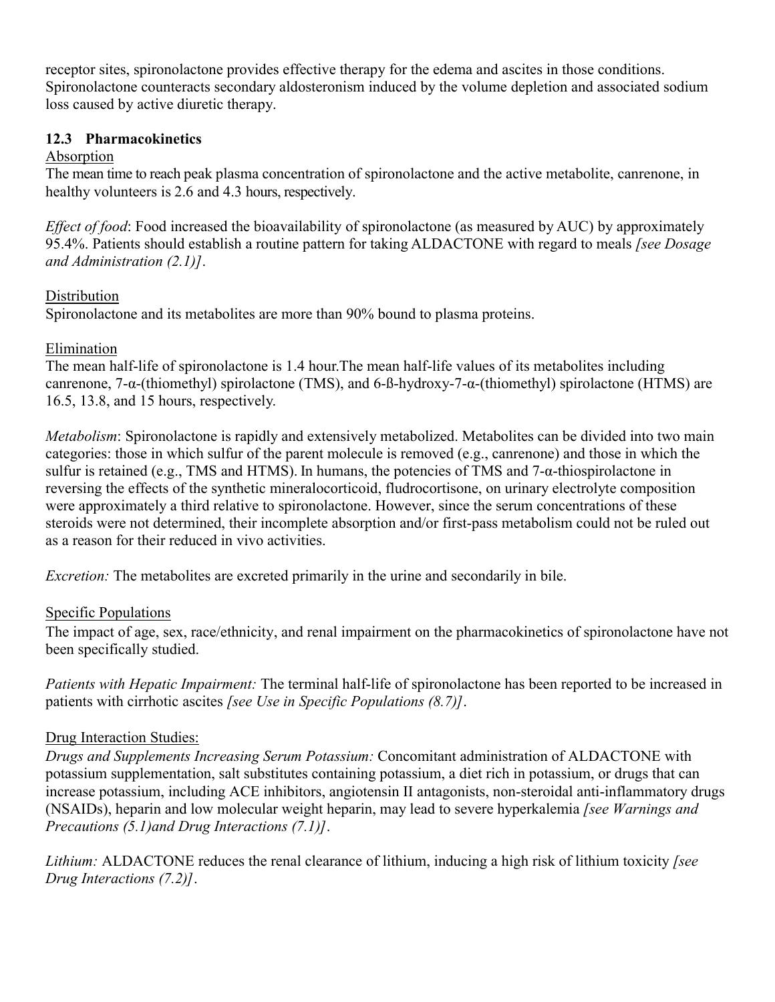receptor sites, spironolactone provides effective therapy for the edema and ascites in those conditions. Spironolactone counteracts secondary aldosteronism induced by the volume depletion and associated sodium loss caused by active diuretic therapy.

### **12.3 Pharmacokinetics**

### Absorption

The mean time to reach peak plasma concentration of spironolactone and the active metabolite, canrenone, in healthy volunteers is 2.6 and 4.3 hours, respectively.

*Effect of food*: Food increased the bioavailability of spironolactone (as measured by AUC) by approximately 95.4%. Patients should establish a routine pattern for taking ALDACTONE with regard to meals *[see Dosage and Administration (2.1)]*.

## Distribution

Spironolactone and its metabolites are more than 90% bound to plasma proteins.

## Elimination

The mean half-life of spironolactone is 1.4 hour.The mean half-life values of its metabolites including canrenone, 7-α-(thiomethyl) spirolactone (TMS), and 6-ß-hydroxy-7-α-(thiomethyl) spirolactone (HTMS) are 16.5, 13.8, and 15 hours, respectively.

*Metabolism*: Spironolactone is rapidly and extensively metabolized. Metabolites can be divided into two main categories: those in which sulfur of the parent molecule is removed (e.g., canrenone) and those in which the sulfur is retained (e.g., TMS and HTMS). In humans, the potencies of TMS and 7-α-thiospirolactone in reversing the effects of the synthetic mineralocorticoid, fludrocortisone, on urinary electrolyte composition were approximately a third relative to spironolactone. However, since the serum concentrations of these steroids were not determined, their incomplete absorption and/or first-pass metabolism could not be ruled out as a reason for their reduced in vivo activities.

*Excretion:* The metabolites are excreted primarily in the urine and secondarily in bile.

# Specific Populations

The impact of age, sex, race/ethnicity, and renal impairment on the pharmacokinetics of spironolactone have not been specifically studied.

*Patients with Hepatic Impairment:* The terminal half-life of spironolactone has been reported to be increased in patients with cirrhotic ascites *[see Use in Specific Populations (8.7)]*.

# Drug Interaction Studies:

*Drugs and Supplements Increasing Serum Potassium:* Concomitant administration of ALDACTONE with potassium supplementation, salt substitutes containing potassium, a diet rich in potassium, or drugs that can increase potassium, including ACE inhibitors, angiotensin II antagonists, non-steroidal anti-inflammatory drugs (NSAIDs), heparin and low molecular weight heparin, may lead to severe hyperkalemia *[see Warnings and Precautions (5.1)and Drug Interactions (7.1)]*.

*Lithium:* ALDACTONE reduces the renal clearance of lithium, inducing a high risk of lithium toxicity *[see Drug Interactions (7.2)]*.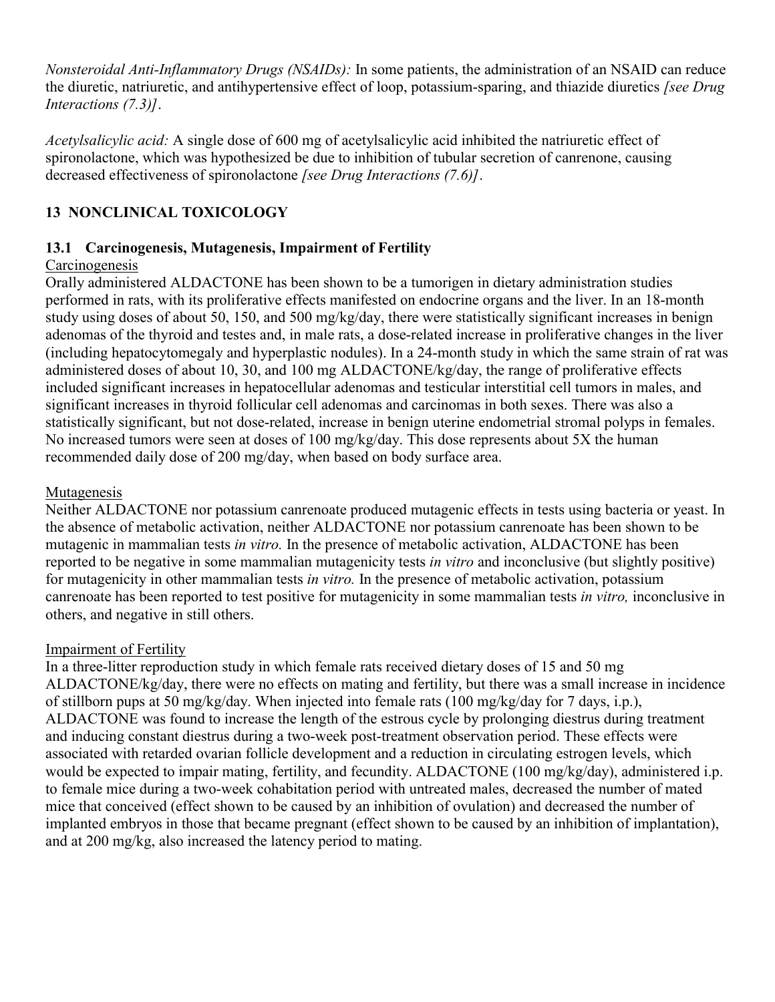*Nonsteroidal Anti-Inflammatory Drugs (NSAIDs):* In some patients, the administration of an NSAID can reduce the diuretic, natriuretic, and antihypertensive effect of loop, potassium-sparing, and thiazide diuretics *[see Drug Interactions (7.3)]*.

*Acetylsalicylic acid:* A single dose of 600 mg of acetylsalicylic acid inhibited the natriuretic effect of spironolactone, which was hypothesized be due to inhibition of tubular secretion of canrenone, causing decreased effectiveness of spironolactone *[see Drug Interactions (7.6)]*.

# **13 NONCLINICAL TOXICOLOGY**

## **13.1 Carcinogenesis, Mutagenesis, Impairment of Fertility**

## Carcinogenesis

Orally administered ALDACTONE has been shown to be a tumorigen in dietary administration studies performed in rats, with its proliferative effects manifested on endocrine organs and the liver. In an 18-month study using doses of about 50, 150, and 500 mg/kg/day, there were statistically significant increases in benign adenomas of the thyroid and testes and, in male rats, a dose-related increase in proliferative changes in the liver (including hepatocytomegaly and hyperplastic nodules). In a 24-month study in which the same strain of rat was administered doses of about 10, 30, and 100 mg ALDACTONE/kg/day, the range of proliferative effects included significant increases in hepatocellular adenomas and testicular interstitial cell tumors in males, and significant increases in thyroid follicular cell adenomas and carcinomas in both sexes. There was also a statistically significant, but not dose-related, increase in benign uterine endometrial stromal polyps in females. No increased tumors were seen at doses of 100 mg/kg/day. This dose represents about 5X the human recommended daily dose of 200 mg/day, when based on body surface area.

## Mutagenesis

Neither ALDACTONE nor potassium canrenoate produced mutagenic effects in tests using bacteria or yeast. In the absence of metabolic activation, neither ALDACTONE nor potassium canrenoate has been shown to be mutagenic in mammalian tests *in vitro.* In the presence of metabolic activation, ALDACTONE has been reported to be negative in some mammalian mutagenicity tests *in vitro* and inconclusive (but slightly positive) for mutagenicity in other mammalian tests *in vitro.* In the presence of metabolic activation, potassium canrenoate has been reported to test positive for mutagenicity in some mammalian tests *in vitro,* inconclusive in others, and negative in still others.

### Impairment of Fertility

In a three-litter reproduction study in which female rats received dietary doses of 15 and 50 mg ALDACTONE/kg/day, there were no effects on mating and fertility, but there was a small increase in incidence of stillborn pups at 50 mg/kg/day. When injected into female rats (100 mg/kg/day for 7 days, i.p.), ALDACTONE was found to increase the length of the estrous cycle by prolonging diestrus during treatment and inducing constant diestrus during a two-week post-treatment observation period. These effects were associated with retarded ovarian follicle development and a reduction in circulating estrogen levels, which would be expected to impair mating, fertility, and fecundity. ALDACTONE (100 mg/kg/day), administered i.p. to female mice during a two-week cohabitation period with untreated males, decreased the number of mated mice that conceived (effect shown to be caused by an inhibition of ovulation) and decreased the number of implanted embryos in those that became pregnant (effect shown to be caused by an inhibition of implantation), and at 200 mg/kg, also increased the latency period to mating.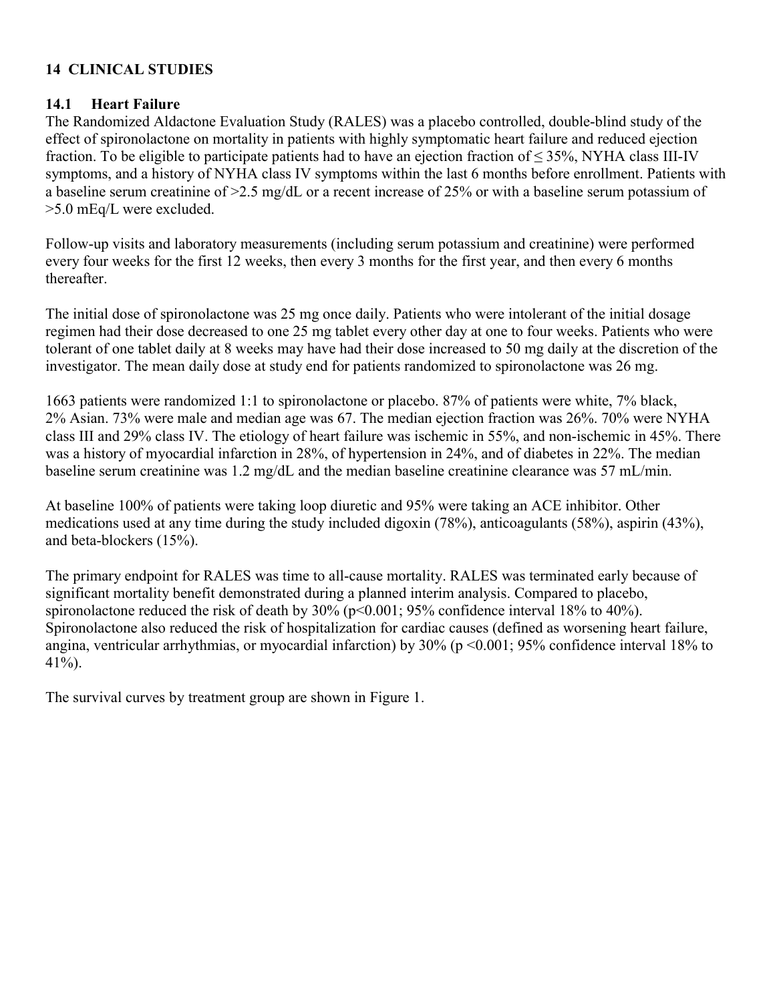# **14 CLINICAL STUDIES**

### **14.1 Heart Failure**

The Randomized Aldactone Evaluation Study (RALES) was a placebo controlled, double-blind study of the effect of spironolactone on mortality in patients with highly symptomatic heart failure and reduced ejection fraction. To be eligible to participate patients had to have an ejection fraction of  $\leq$  35%, NYHA class III-IV symptoms, and a history of NYHA class IV symptoms within the last 6 months before enrollment. Patients with a baseline serum creatinine of  $>2.5$  mg/dL or a recent increase of 25% or with a baseline serum potassium of >5.0 mEq/L were excluded.

Follow-up visits and laboratory measurements (including serum potassium and creatinine) were performed every four weeks for the first 12 weeks, then every 3 months for the first year, and then every 6 months thereafter.

The initial dose of spironolactone was 25 mg once daily. Patients who were intolerant of the initial dosage regimen had their dose decreased to one 25 mg tablet every other day at one to four weeks. Patients who were tolerant of one tablet daily at 8 weeks may have had their dose increased to 50 mg daily at the discretion of the investigator. The mean daily dose at study end for patients randomized to spironolactone was 26 mg.

1663 patients were randomized 1:1 to spironolactone or placebo. 87% of patients were white, 7% black, 2% Asian. 73% were male and median age was 67. The median ejection fraction was 26%. 70% were NYHA class III and 29% class IV. The etiology of heart failure was ischemic in 55%, and non-ischemic in 45%. There was a history of myocardial infarction in 28%, of hypertension in 24%, and of diabetes in 22%. The median baseline serum creatinine was 1.2 mg/dL and the median baseline creatinine clearance was 57 mL/min.

At baseline 100% of patients were taking loop diuretic and 95% were taking an ACE inhibitor. Other medications used at any time during the study included digoxin (78%), anticoagulants (58%), aspirin (43%), and beta-blockers (15%).

The primary endpoint for RALES was time to all-cause mortality. RALES was terminated early because of significant mortality benefit demonstrated during a planned interim analysis. Compared to placebo, spironolactone reduced the risk of death by  $30\%$  ( $p<0.001$ ;  $95\%$  confidence interval 18% to 40%). Spironolactone also reduced the risk of hospitalization for cardiac causes (defined as worsening heart failure, angina, ventricular arrhythmias, or myocardial infarction) by 30% (p <0.001; 95% confidence interval 18% to 41%).

The survival curves by treatment group are shown in Figure 1.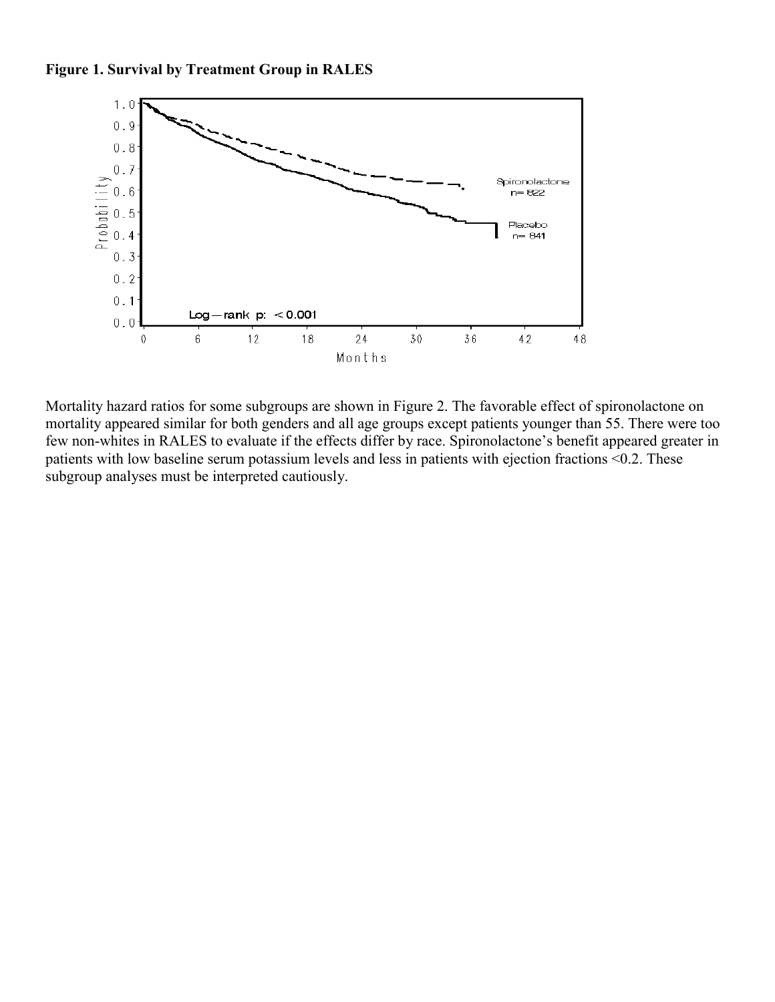



Mortality hazard ratios for some subgroups are shown in Figure 2. The favorable effect of spironolactone on mortality appeared similar for both genders and all age groups except patients younger than 55. There were too few non-whites in RALES to evaluate if the effects differ by race. Spironolactone's benefit appeared greater in patients with low baseline serum potassium levels and less in patients with ejection fractions <0.2. These subgroup analyses must be interpreted cautiously.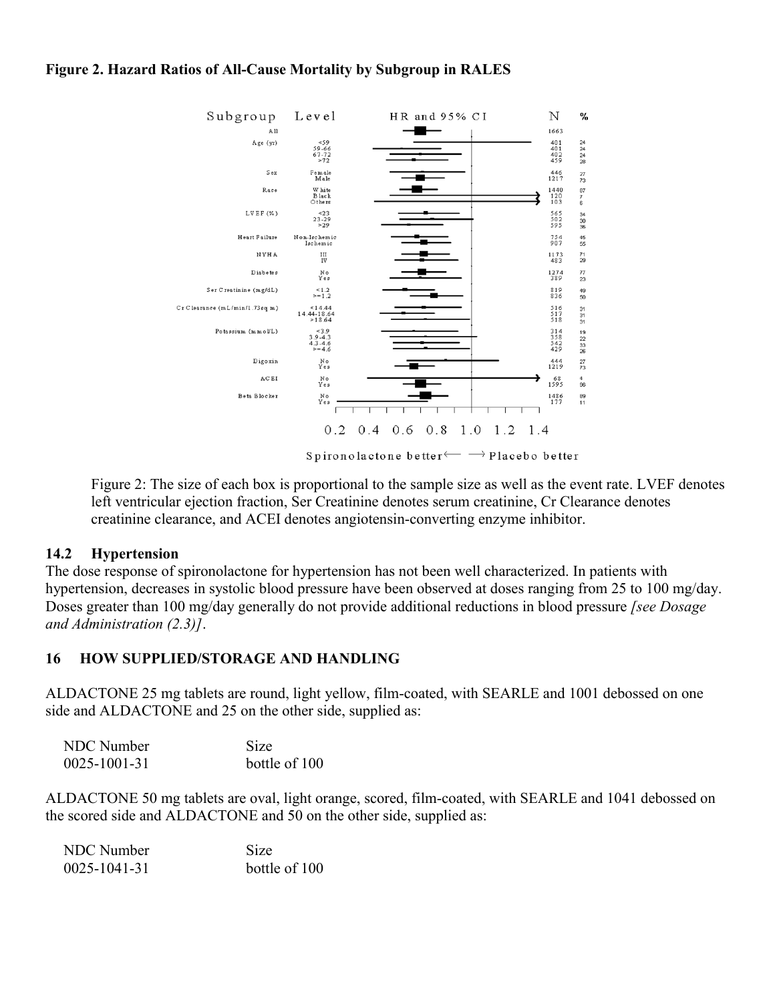#### **Figure 2. Hazard Ratios of All-Cause Mortality by Subgroup in RALES**



Spironolactone better  $\longleftarrow$   $\rightarrow$  Placebo better

Figure 2: The size of each box is proportional to the sample size as well as the event rate. LVEF denotes left ventricular ejection fraction, Ser Creatinine denotes serum creatinine, Cr Clearance denotes creatinine clearance, and ACEI denotes angiotensin-converting enzyme inhibitor.

#### **14.2 Hypertension**

The dose response of spironolactone for hypertension has not been well characterized. In patients with hypertension, decreases in systolic blood pressure have been observed at doses ranging from 25 to 100 mg/day. Doses greater than 100 mg/day generally do not provide additional reductions in blood pressure *[see Dosage and Administration (2.3)]*.

### **16 HOW SUPPLIED/STORAGE AND HANDLING**

ALDACTONE 25 mg tablets are round, light yellow, film-coated, with SEARLE and 1001 debossed on one side and ALDACTONE and 25 on the other side, supplied as:

| NDC Number         | <b>Size</b>   |
|--------------------|---------------|
| $0025 - 1001 - 31$ | bottle of 100 |

ALDACTONE 50 mg tablets are oval, light orange, scored, film-coated, with SEARLE and 1041 debossed on the scored side and ALDACTONE and 50 on the other side, supplied as:

| NDC Number   | <b>Size</b>   |
|--------------|---------------|
| 0025-1041-31 | bottle of 100 |